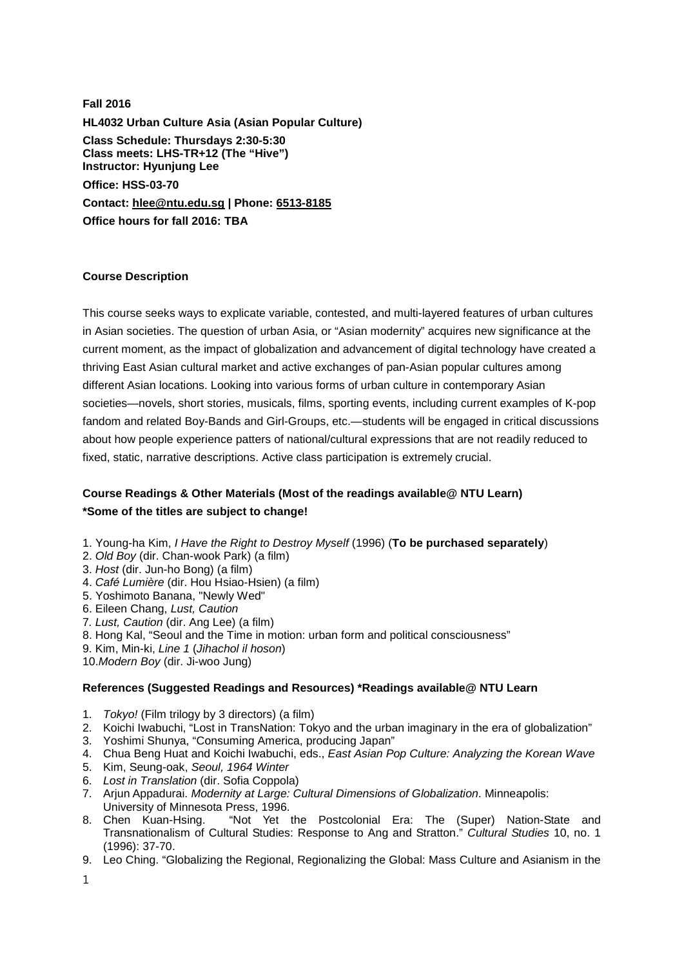**Fall 2016 HL4032 Urban Culture Asia (Asian Popular Culture) Class Schedule: Thursdays 2:30-5:30 Class meets: LHS-TR+12 (The "Hive") Instructor: Hyunjung Lee Office: HSS-03-70 Contact: [hlee@ntu.edu.sg](https://webmail.ntu.edu.sg/owa/redir.aspx?C=863e37ce6ca94e32a3560eee4c9c7cf4&URL=mailto%3ahlee%40ntu.edu.sg) | Phone: [6513-8185](tel:6513-8185) Office hours for fall 2016: TBA**

## **Course Description**

This course seeks ways to explicate variable, contested, and multi-layered features of urban cultures in Asian societies. The question of urban Asia, or "Asian modernity" acquires new significance at the current moment, as the impact of globalization and advancement of digital technology have created a thriving East Asian cultural market and active exchanges of pan-Asian popular cultures among different Asian locations. Looking into various forms of urban culture in contemporary Asian societies—novels, short stories, musicals, films, sporting events, including current examples of K-pop fandom and related Boy-Bands and Girl-Groups, etc.—students will be engaged in critical discussions about how people experience patters of national/cultural expressions that are not readily reduced to fixed, static, narrative descriptions. Active class participation is extremely crucial.

# **Course Readings & Other Materials (Most of the readings available@ NTU Learn) \*Some of the titles are subject to change!**

- 1. Young-ha Kim, *I Have the Right to Destroy Myself* (1996) (**To be purchased separately**)
- 2. *Old Boy* (dir. Chan-wook Park) (a film)
- 3. *Host* (dir. Jun-ho Bong) (a film)
- 4. *Café Lumière* (dir. Hou Hsiao-Hsien) (a film)
- 5. Yoshimoto Banana, "Newly Wed"
- 6. Eileen Chang, *Lust, Caution*
- 7*. Lust, Caution* (dir. Ang Lee) (a film)
- 8. Hong Kal, "Seoul and the Time in motion: urban form and political consciousness"
- 9. Kim, Min-ki, *Line 1* (*Jihachol il hoson*)
- 10.*Modern Boy* (dir. Ji-woo Jung)

#### **References (Suggested Readings and Resources) \*Readings available@ NTU Learn**

- 1. *Tokyo!* (Film trilogy by 3 directors) (a film)
- 2. Koichi Iwabuchi, "Lost in TransNation: Tokyo and the urban imaginary in the era of globalization"
- 3. Yoshimi Shunya, "Consuming America, producing Japan"
- 4. Chua Beng Huat and Koichi Iwabuchi, eds., *East Asian Pop Culture: Analyzing the Korean Wave*
- 5. Kim, Seung-oak, *Seoul, 1964 Winter*
- 6. *Lost in Translation* (dir. Sofia Coppola)
- 7. Arjun Appadurai. *Modernity at Large: Cultural Dimensions of Globalization*. Minneapolis: University of Minnesota Press, 1996.<br>8. Chen Kuan-Hsing. "Not Yet
- "Not Yet the Postcolonial Era: The (Super) Nation-State and Transnationalism of Cultural Studies: Response to Ang and Stratton." *Cultural Studies* 10, no. 1 (1996): 37-70.
- 9. Leo Ching. "Globalizing the Regional, Regionalizing the Global: Mass Culture and Asianism in the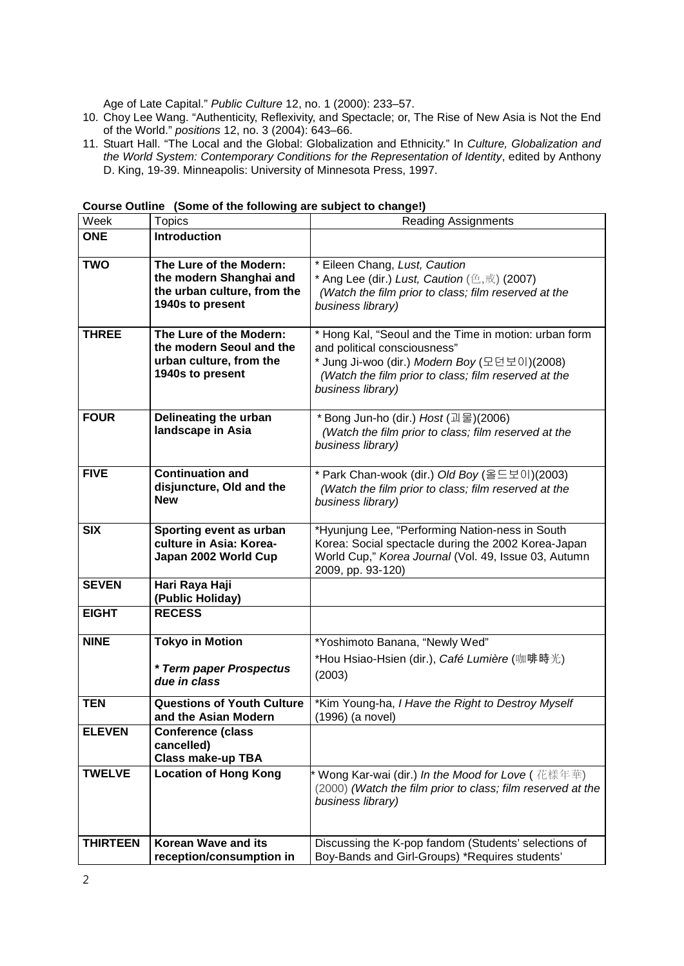Age of Late Capital." *Public Culture* 12, no. 1 (2000): 233–57.

- 10. Choy Lee Wang. "Authenticity, Reflexivity, and Spectacle; or, The Rise of New Asia is Not the End of the World." *positions* 12, no. 3 (2004): 643–66.
- 11. Stuart Hall. "The Local and the Global: Globalization and Ethnicity." In *Culture, Globalization and the World System: Contemporary Conditions for the Representation of Identity*, edited by Anthony D. King, 19-39. Minneapolis: University of Minnesota Press, 1997.

| Week            | <b>Topics</b>                                                                                         | <b>Reading Assignments</b>                                                                                                                                                                                         |
|-----------------|-------------------------------------------------------------------------------------------------------|--------------------------------------------------------------------------------------------------------------------------------------------------------------------------------------------------------------------|
| <b>ONE</b>      | <b>Introduction</b>                                                                                   |                                                                                                                                                                                                                    |
| <b>TWO</b>      | The Lure of the Modern:<br>the modern Shanghai and<br>the urban culture, from the<br>1940s to present | * Eileen Chang, Lust, Caution<br>* Ang Lee (dir.) Lust, Caution $(\triangle, \#)$ (2007)<br>(Watch the film prior to class; film reserved at the<br>business library)                                              |
| <b>THREE</b>    | The Lure of the Modern:<br>the modern Seoul and the<br>urban culture, from the<br>1940s to present    | * Hong Kal, "Seoul and the Time in motion: urban form<br>and political consciousness"<br>* Jung Ji-woo (dir.) Modern Boy (모던보이)(2008)<br>(Watch the film prior to class; film reserved at the<br>business library) |
| <b>FOUR</b>     | Delineating the urban<br>landscape in Asia                                                            | * Bong Jun-ho (dir.) Host (괴물)(2006)<br>(Watch the film prior to class; film reserved at the<br>business library)                                                                                                  |
| <b>FIVE</b>     | <b>Continuation and</b><br>disjuncture, Old and the<br><b>New</b>                                     | * Park Chan-wook (dir.) Old Boy (올드보이)(2003)<br>(Watch the film prior to class; film reserved at the<br>business library)                                                                                          |
| <b>SIX</b>      | Sporting event as urban<br>culture in Asia: Korea-<br>Japan 2002 World Cup                            | *Hyunjung Lee, "Performing Nation-ness in South<br>Korea: Social spectacle during the 2002 Korea-Japan<br>World Cup," Korea Journal (Vol. 49, Issue 03, Autumn<br>2009, pp. 93-120)                                |
| <b>SEVEN</b>    | Hari Raya Haji<br>(Public Holiday)                                                                    |                                                                                                                                                                                                                    |
| <b>EIGHT</b>    | <b>RECESS</b>                                                                                         |                                                                                                                                                                                                                    |
| <b>NINE</b>     | <b>Tokyo in Motion</b><br>* Term paper Prospectus<br>due in class                                     | *Yoshimoto Banana, "Newly Wed"<br>*Hou Hsiao-Hsien (dir.), <i>Café Lumière</i> (咖啡時光)<br>(2003)                                                                                                                    |
| <b>TEN</b>      | <b>Questions of Youth Culture</b><br>and the Asian Modern                                             | *Kim Young-ha, I Have the Right to Destroy Myself<br>(1996) (a novel)                                                                                                                                              |
| <b>ELEVEN</b>   | <b>Conference (class</b><br>cancelled)<br><b>Class make-up TBA</b>                                    |                                                                                                                                                                                                                    |
| <b>TWELVE</b>   | <b>Location of Hong Kong</b>                                                                          | * Wong Kar-wai (dir.) In the Mood for Love ( 花樣年華)<br>(2000) (Watch the film prior to class; film reserved at the<br>business library)                                                                             |
| <b>THIRTEEN</b> | <b>Korean Wave and its</b><br>reception/consumption in                                                | Discussing the K-pop fandom (Students' selections of<br>Boy-Bands and Girl-Groups) *Requires students'                                                                                                             |

**Course Outline (Some of the following are subject to change!)**